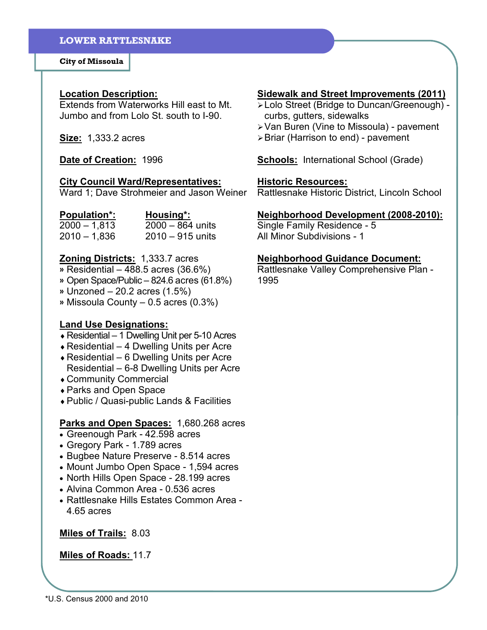City of Missoula

#### Location Description:

Extends from Waterworks Hill east to Mt. Jumbo and from Lolo St. south to I-90.

**Size:** 1,333.2 acres

Date of Creation: 1996

### City Council Ward/Representatives:

Ward 1; Dave Strohmeier and Jason Weiner

| <b>Population*:</b> | Housing*:          |
|---------------------|--------------------|
| $2000 - 1,813$      | $2000 - 864$ units |
| $2010 - 1,836$      | $2010 - 915$ units |

# Zoning Districts: 1,333.7 acres

» Residential – 488.5 acres (36.6%)

- » Open Space/Public 824.6 acres (61.8%)
- » Unzoned 20.2 acres (1.5%)
- » Missoula County 0.5 acres (0.3%)

# Land Use Designations:

- ♦ Residential 1 Dwelling Unit per 5-10 Acres
- $\triangle$  Residential 4 Dwelling Units per Acre
- $\triangle$  Residential 6 Dwelling Units per Acre Residential – 6-8 Dwelling Units per Acre
- ♦ Community Commercial
- ♦ Parks and Open Space
- ♦ Public / Quasi-public Lands & Facilities

## Parks and Open Spaces: 1,680.268 acres

- Greenough Park 42.598 acres
- Gregory Park 1.789 acres
- Bugbee Nature Preserve 8.514 acres
- Mount Jumbo Open Space 1,594 acres
- North Hills Open Space 28.199 acres
- Alvina Common Area 0.536 acres
- Rattlesnake Hills Estates Common Area 4.65 acres

## Miles of Trails: 8.03

#### Miles of Roads: 11.7

# Sidewalk and Street Improvements (2011)

- Lolo Street (Bridge to Duncan/Greenough) curbs, gutters, sidewalks
- Van Buren (Vine to Missoula) pavement
- > Briar (Harrison to end) pavement

**Schools:** International School (Grade)

### Historic Resources:

Rattlesnake Historic District, Lincoln School

## Neighborhood Development (2008-2010):

Single Family Residence - 5 All Minor Subdivisions - 1

## Neighborhood Guidance Document:

Rattlesnake Valley Comprehensive Plan - 1995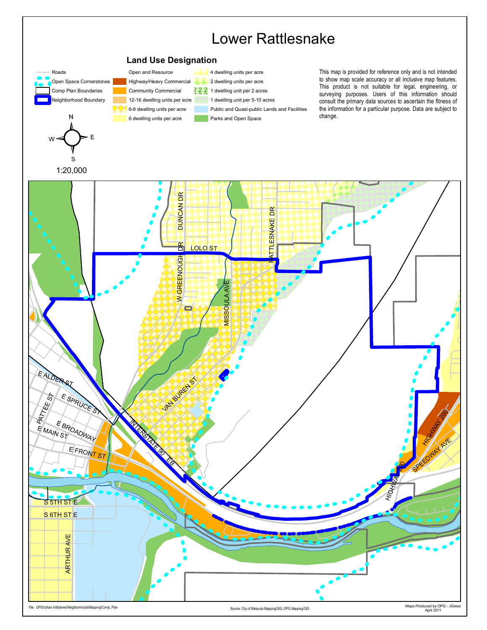

File: OPG\Urban Intitiatives\Neighborhoods\Mapping\Comp\_Plan

Maps Produced by OPG - JGress<br>April 2011

Source: City of Missoula Mapping/GIS, OPG Mapping/GIS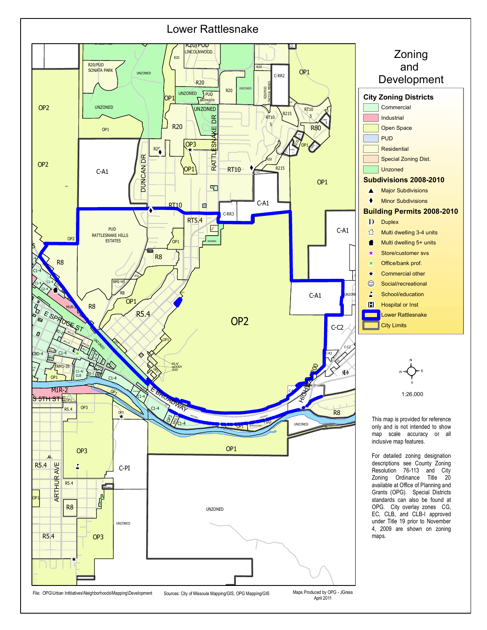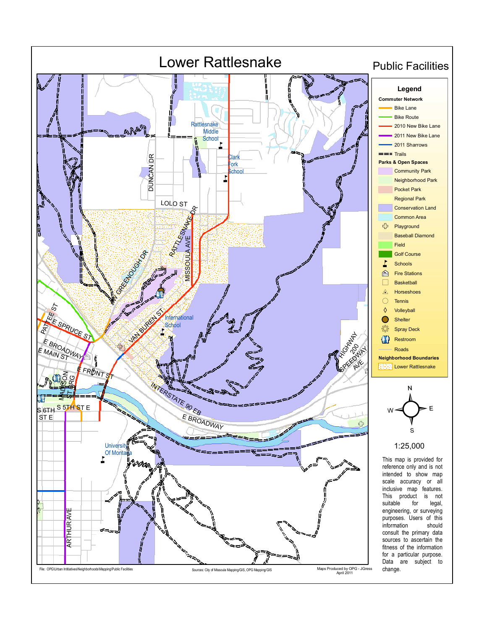